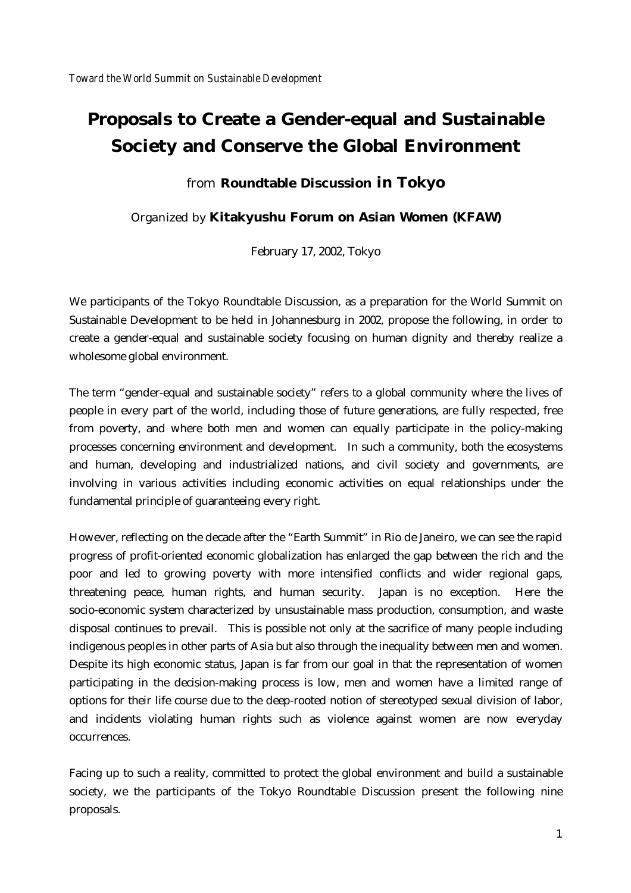# **Proposals to Create a Gender-equal and Sustainable Society and Conserve the Global Environment**

#### from **Roundtable Discussion in Tokyo**

Organized by **Kitakyushu Forum on Asian Women (KFAW)**

February 17, 2002, Tokyo

We participants of the Tokyo Roundtable Discussion, as a preparation for the World Summit on Sustainable Development to be held in Johannesburg in 2002, propose the following, in order to create a gender-equal and sustainable society focusing on human dignity and thereby realize a wholesome global environment.

The term "gender-equal and sustainable society" refers to a global community where the lives of people in every part of the world, including those of future generations, are fully respected, free from poverty, and where both men and women can equally participate in the policy-making processes concerning environment and development. In such a community, both the ecosystems and human, developing and industrialized nations, and civil society and governments, are involving in various activities including economic activities on equal relationships under the fundamental principle of guaranteeing every right.

However, reflecting on the decade after the "Earth Summit" in Rio de Janeiro, we can see the rapid progress of profit-oriented economic globalization has enlarged the gap between the rich and the poor and led to growing poverty with more intensified conflicts and wider regional gaps, threatening peace, human rights, and human security. Japan is no exception. Here the socio-economic system characterized by unsustainable mass production, consumption, and waste disposal continues to prevail. This is possible not only at the sacrifice of many people including indigenous peoples in other parts of Asia but also through the inequality between men and women. Despite its high economic status, Japan is far from our goal in that the representation of women participating in the decision-making process is low, men and women have a limited range of options for their life course due to the deep-rooted notion of stereotyped sexual division of labor, and incidents violating human rights such as violence against women are now everyday occurrences.

Facing up to such a reality, committed to protect the global environment and build a sustainable society, we the participants of the Tokyo Roundtable Discussion present the following nine proposals.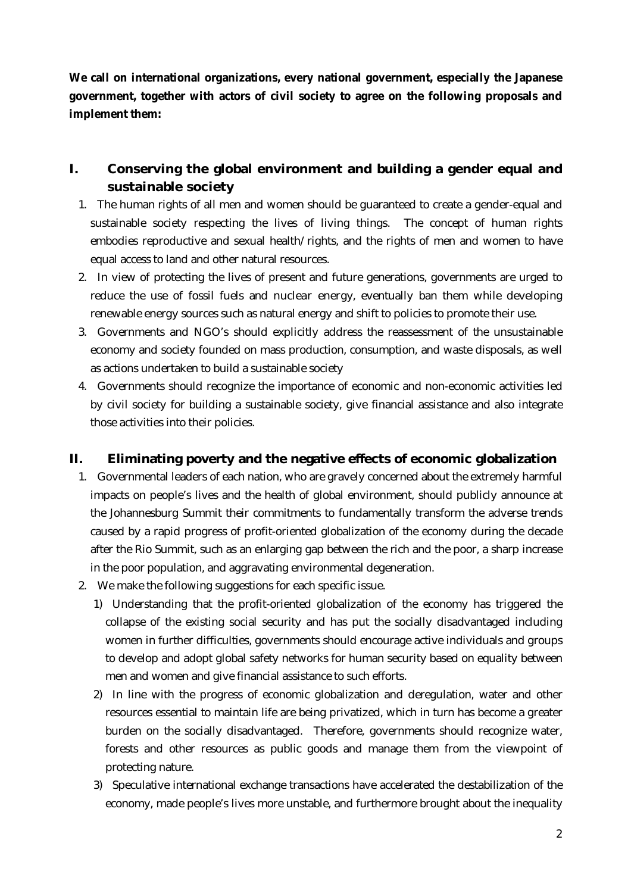**We call on international organizations, every national government, especially the Japanese government, together with actors of civil society to agree on the following proposals and implement them:** 

# **I. Conserving the global environment and building a gender equal and sustainable society**

- 1. The human rights of all men and women should be guaranteed to create a gender-equal and sustainable society respecting the lives of living things. The concept of human rights embodies reproductive and sexual health/rights, and the rights of men and women to have equal access to land and other natural resources.
- 2. In view of protecting the lives of present and future generations, governments are urged to reduce the use of fossil fuels and nuclear energy, eventually ban them while developing renewable energy sources such as natural energy and shift to policies to promote their use.
- 3. Governments and NGO's should explicitly address the reassessment of the unsustainable economy and society founded on mass production, consumption, and waste disposals, as well as actions undertaken to build a sustainable society
- 4. Governments should recognize the importance of economic and non-economic activities led by civil society for building a sustainable society, give financial assistance and also integrate those activities into their policies.

### **II. Eliminating poverty and the negative effects of economic globalization**

- 1. Governmental leaders of each nation, who are gravely concerned about the extremely harmful impacts on people's lives and the health of global environment, should publicly announce at the Johannesburg Summit their commitments to fundamentally transform the adverse trends caused by a rapid progress of profit-oriented globalization of the economy during the decade after the Rio Summit, such as an enlarging gap between the rich and the poor, a sharp increase in the poor population, and aggravating environmental degeneration.
- 2. We make the following suggestions for each specific issue.
	- 1) Understanding that the profit-oriented globalization of the economy has triggered the collapse of the existing social security and has put the socially disadvantaged including women in further difficulties, governments should encourage active individuals and groups to develop and adopt global safety networks for human security based on equality between men and women and give financial assistance to such efforts.
	- 2) In line with the progress of economic globalization and deregulation, water and other resources essential to maintain life are being privatized, which in turn has become a greater burden on the socially disadvantaged. Therefore, governments should recognize water, forests and other resources as public goods and manage them from the viewpoint of protecting nature.
	- 3) Speculative international exchange transactions have accelerated the destabilization of the economy, made people's lives more unstable, and furthermore brought about the inequality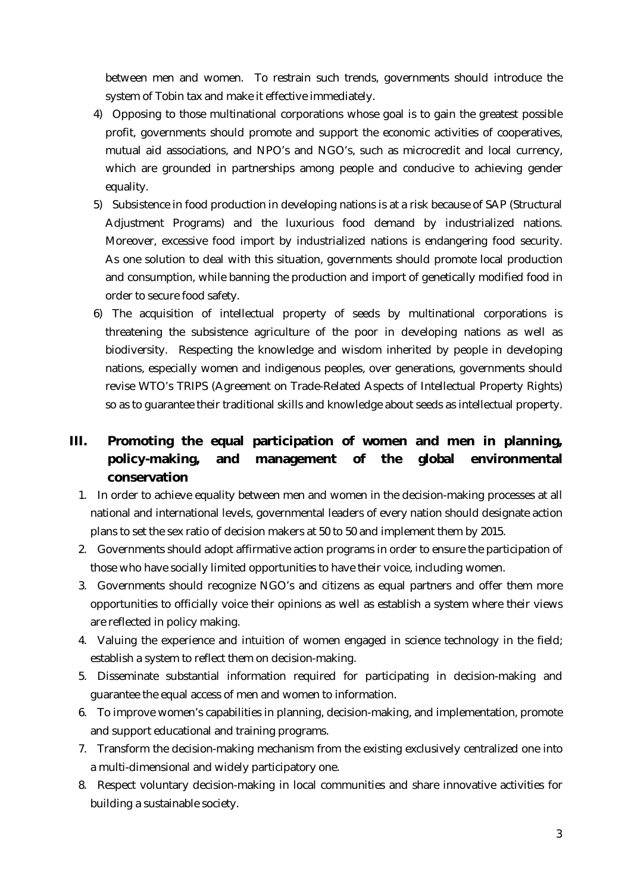between men and women. To restrain such trends, governments should introduce the system of Tobin tax and make it effective immediately.

- 4) Opposing to those multinational corporations whose goal is to gain the greatest possible profit, governments should promote and support the economic activities of cooperatives, mutual aid associations, and NPO's and NGO's, such as microcredit and local currency, which are grounded in partnerships among people and conducive to achieving gender equality.
- 5) Subsistence in food production in developing nations is at a risk because of SAP (Structural Adjustment Programs) and the luxurious food demand by industrialized nations. Moreover, excessive food import by industrialized nations is endangering food security. As one solution to deal with this situation, governments should promote local production and consumption, while banning the production and import of genetically modified food in order to secure food safety.
- 6) The acquisition of intellectual property of seeds by multinational corporations is threatening the subsistence agriculture of the poor in developing nations as well as biodiversity. Respecting the knowledge and wisdom inherited by people in developing nations, especially women and indigenous peoples, over generations, governments should revise WTO's TRIPS (Agreement on Trade-Related Aspects of Intellectual Property Rights) so as to guarantee their traditional skills and knowledge about seeds as intellectual property.

# **III. Promoting the equal participation of women and men in planning, policy-making, and management of the global environmental conservation**

- 1. In order to achieve equality between men and women in the decision-making processes at all national and international levels, governmental leaders of every nation should designate action plans to set the sex ratio of decision makers at 50 to 50 and implement them by 2015.
- 2. Governments should adopt affirmative action programs in order to ensure the participation of those who have socially limited opportunities to have their voice, including women.
- 3. Governments should recognize NGO's and citizens as equal partners and offer them more opportunities to officially voice their opinions as well as establish a system where their views are reflected in policy making.
- 4. Valuing the experience and intuition of women engaged in science technology in the field; establish a system to reflect them on decision-making.
- 5. Disseminate substantial information required for participating in decision-making and guarantee the equal access of men and women to information.
- 6. To improve women's capabilities in planning, decision-making, and implementation, promote and support educational and training programs.
- 7. Transform the decision-making mechanism from the existing exclusively centralized one into a multi-dimensional and widely participatory one.
- 8. Respect voluntary decision-making in local communities and share innovative activities for building a sustainable society.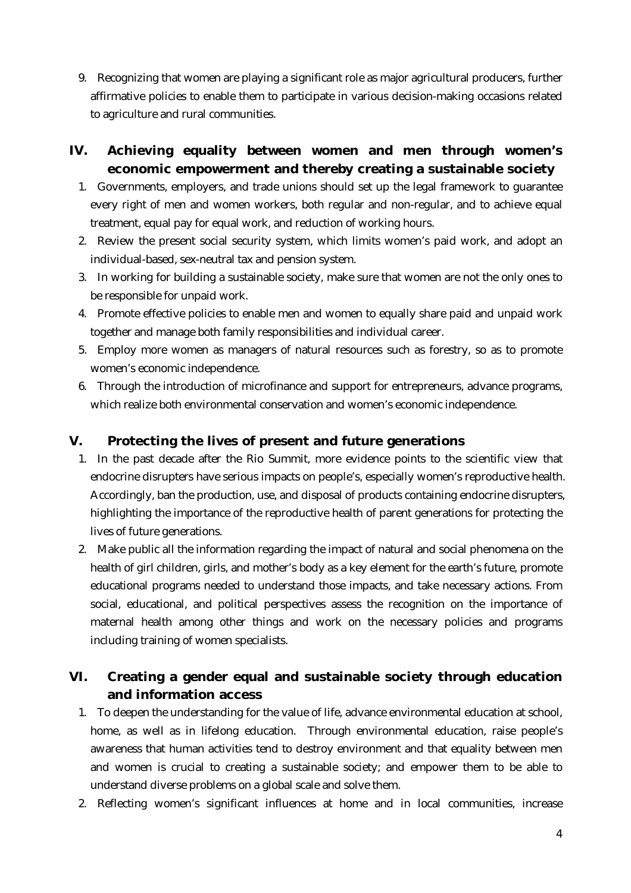9. Recognizing that women are playing a significant role as major agricultural producers, further affirmative policies to enable them to participate in various decision-making occasions related to agriculture and rural communities.

# **IV. Achieving equality between women and men through women's economic empowerment and thereby creating a sustainable society**

- 1. Governments, employers, and trade unions should set up the legal framework to guarantee every right of men and women workers, both regular and non-regular, and to achieve equal treatment, equal pay for equal work, and reduction of working hours.
- 2. Review the present social security system, which limits women's paid work, and adopt an individual-based, sex-neutral tax and pension system.
- 3. In working for building a sustainable society, make sure that women are not the only ones to be responsible for unpaid work.
- 4. Promote effective policies to enable men and women to equally share paid and unpaid work together and manage both family responsibilities and individual career.
- 5. Employ more women as managers of natural resources such as forestry, so as to promote women's economic independence.
- 6. Through the introduction of microfinance and support for entrepreneurs, advance programs, which realize both environmental conservation and women's economic independence.

## **V. Protecting the lives of present and future generations**

- 1. In the past decade after the Rio Summit, more evidence points to the scientific view that endocrine disrupters have serious impacts on people's, especially women's reproductive health. Accordingly, ban the production, use, and disposal of products containing endocrine disrupters, highlighting the importance of the reproductive health of parent generations for protecting the lives of future generations.
- 2. Make public all the information regarding the impact of natural and social phenomena on the health of girl children, girls, and mother's body as a key element for the earth's future, promote educational programs needed to understand those impacts, and take necessary actions. From social, educational, and political perspectives assess the recognition on the importance of maternal health among other things and work on the necessary policies and programs including training of women specialists.

# **VI. Creating a gender equal and sustainable society through education and information access**

- 1. To deepen the understanding for the value of life, advance environmental education at school, home, as well as in lifelong education. Through environmental education, raise people's awareness that human activities tend to destroy environment and that equality between men and women is crucial to creating a sustainable society; and empower them to be able to understand diverse problems on a global scale and solve them.
- 2. Reflecting women's significant influences at home and in local communities, increase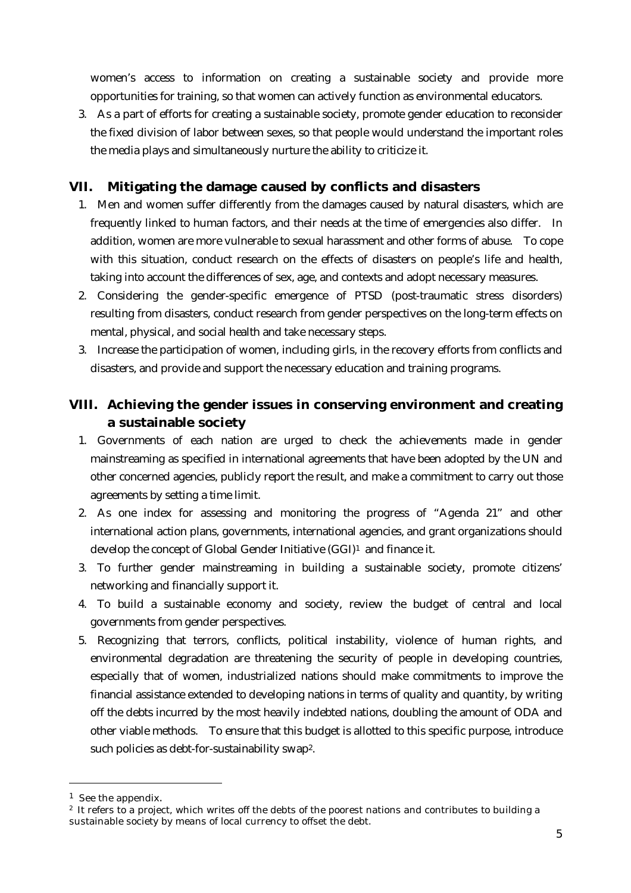women's access to information on creating a sustainable society and provide more opportunities for training, so that women can actively function as environmental educators.

3. As a part of efforts for creating a sustainable society, promote gender education to reconsider the fixed division of labor between sexes, so that people would understand the important roles the media plays and simultaneously nurture the ability to criticize it.

#### **VII. Mitigating the damage caused by conflicts and disasters**

- 1. Men and women suffer differently from the damages caused by natural disasters, which are frequently linked to human factors, and their needs at the time of emergencies also differ. In addition, women are more vulnerable to sexual harassment and other forms of abuse. To cope with this situation, conduct research on the effects of disasters on people's life and health, taking into account the differences of sex, age, and contexts and adopt necessary measures.
- 2. Considering the gender-specific emergence of PTSD (post-traumatic stress disorders) resulting from disasters, conduct research from gender perspectives on the long-term effects on mental, physical, and social health and take necessary steps.
- 3. Increase the participation of women, including girls, in the recovery efforts from conflicts and disasters, and provide and support the necessary education and training programs.

## **VIII. Achieving the gender issues in conserving environment and creating a sustainable society**

- 1. Governments of each nation are urged to check the achievements made in gender mainstreaming as specified in international agreements that have been adopted by the UN and other concerned agencies, publicly report the result, and make a commitment to carry out those agreements by setting a time limit.
- 2. As one index for assessing and monitoring the progress of "Agenda 21" and other international action plans, governments, international agencies, and grant organizations should develop the concept of Global Gender Initiative (GGI[\)1](#page-4-0) and finance it.
- 3. To further gender mainstreaming in building a sustainable society, promote citizens' networking and financially support it.
- 4. To build a sustainable economy and society, review the budget of central and local governments from gender perspectives.
- 5. Recognizing that terrors, conflicts, political instability, violence of human rights, and environmental degradation are threatening the security of people in developing countries, especially that of women, industrialized nations should make commitments to improve the financial assistance extended to developing nations in terms of quality and quantity, by writing off the debts incurred by the most heavily indebted nations, doubling the amount of ODA and other viable methods. To ensure that this budget is allotted to this specific purpose, introduce such policies as debt-for-sustainability swa[p2.](#page-4-1)

 $\overline{a}$ 

<span id="page-4-0"></span><sup>1</sup> See the appendix.

<span id="page-4-1"></span> $2$  It refers to a project, which writes off the debts of the poorest nations and contributes to building a sustainable society by means of local currency to offset the debt.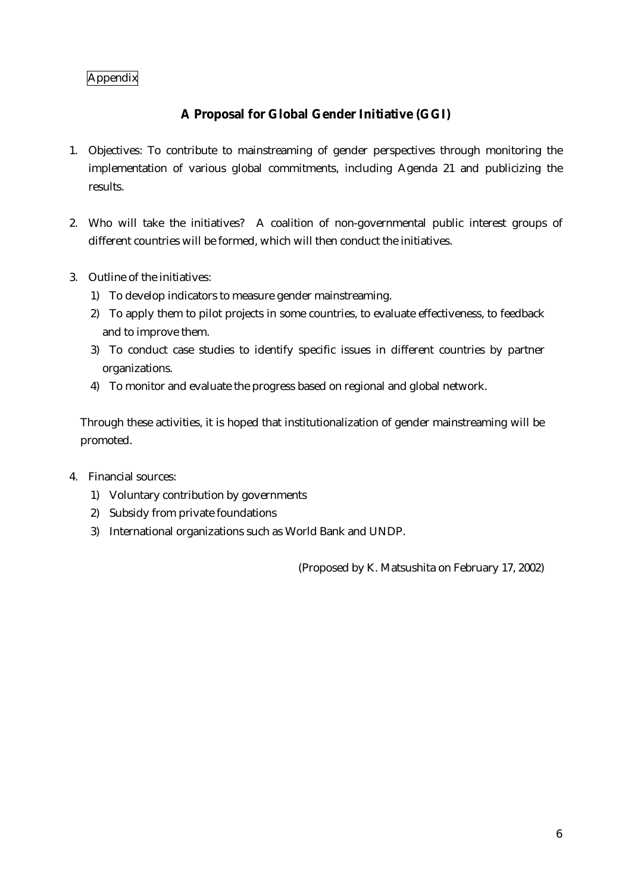#### Appendix

## **A Proposal for Global Gender Initiative (GGI)**

- 1. Objectives: To contribute to mainstreaming of gender perspectives through monitoring the implementation of various global commitments, including Agenda 21 and publicizing the results.
- 2. Who will take the initiatives? A coalition of non-governmental public interest groups of different countries will be formed, which will then conduct the initiatives.
- 3. Outline of the initiatives:
	- 1) To develop indicators to measure gender mainstreaming.
	- 2) To apply them to pilot projects in some countries, to evaluate effectiveness, to feedback and to improve them.
	- 3) To conduct case studies to identify specific issues in different countries by partner organizations.
	- 4) To monitor and evaluate the progress based on regional and global network.

Through these activities, it is hoped that institutionalization of gender mainstreaming will be promoted.

- 4. Financial sources:
	- 1) Voluntary contribution by governments
	- 2) Subsidy from private foundations
	- 3) International organizations such as World Bank and UNDP.

(Proposed by K. Matsushita on February 17, 2002)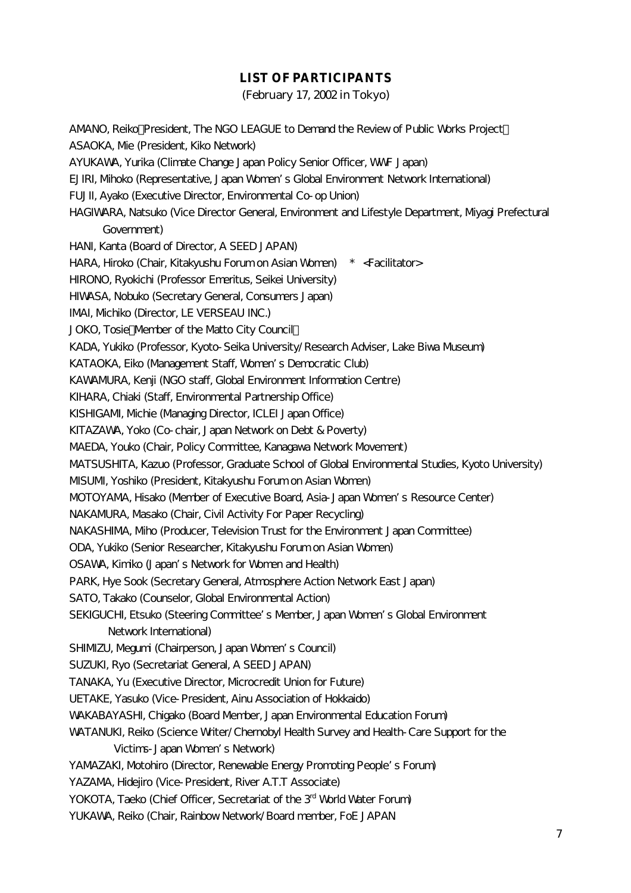#### **LIST OF PARTICIPANTS**

(February 17, 2002 in Tokyo)

AMANO, Reiko President, The NGO LEAGUE to Demand the Review of Public Works Project ASAOKA, Me (President, Kiko Network) AYUKAWA, Yurika (Climate Change Japan Policy Senior Officer, WWF Japan) EJIRI, Mihoko (Representative, Japan Women's Global Environment Network International) FUJII, Ayako (Executive Director, Environmental Co-op Union) HAGIWARA, Natsuko (Vice Director General, Environment and Lifestyle Department, Miyagi Prefectural Government) HANI, Kanta (Board of Director, A SEED JAPAN) HARA, Hiroko (Chair, Kitakyushu Forum on Asian Women) \* <Facilitator> HIRONO, Ryokichi (Professor Emeritus, Seikei University) HIWASA, Nobuko (Secretary General, Consumers Japan) IMAI, Michiko (Director, LE VERSEAU INC.) JOKO, Tosie Member of the Matto City Council KADA, Yukiko (Professor, Kyoto-Seika University/Research Adviser, Lake Biwa Museum) KATAOKA, Eiko (Management Staff, Women's Democratic Club) KAWAMURA, Kenji (NGO staff, Global Environment Information Centre) KIHARA, Chiaki (Staff, Environmental Partnership Office) KISHIGAMI, Michie (Managing Director, ICLEI Japan Office) KITAZAWA, Yoko (Co-chair, Japan Network on Debt & Poverty) MAEDA, Youko (Chair, Policy Committee, Kanagawa Network Movement) MATSUSHITA, Kazuo (Professor, Graduate School of Global Environmental Studies, Kyoto University) MISUMI, Yoshiko (President, Kitakyushu Forum on Asian Women) MOTOYAMA, Hisako (Member of Executive Board, Asia-Japan Women's Resource Center) NAKAMURA, Masako (Chair, Civil Activity For Paper Recycling) NAKASHIMA, Miho (Producer, Television Trust for the Environment Japan Committee) ODA, Yukiko (Senior Researcher, Kitakyushu Forum on Asian Women) OSAWA, Kimiko (Japan's Network for Women and Health) PARK, Hye Sook (Secretary General, Atmosphere Action Network East Japan) SATO, Takako (Counselor, Global Environmental Action) SEKIGUCHI, Etsuko (Steering Committee's Member, Japan Women's Global Environment Network International) SHIMIZU, Megumi (Chairperson, Japan Women's Council) SUZUKI, Ryo (Secretariat General, A SEED JAPAN) TANAKA, Yu (Executive Director, Microcredit Union for Future) UETAKE, Yasuko (Vice-President, Ainu Association of Hokkaido) WAKABAYASHI, Chigako (Board Member, Japan Environmental Education Forum) WATANUKI, Reiko (Science Writer/Chernobyl Health Survey and Health-Care Support for the Victims-Japan Women's Network) YAMAZAKI, Motohiro (Director, Renewable Energy Promoting People's Forum) YAZAMA, Hidejiro (Vice-President, River A.T.T Associate) YOKOTA, Taeko (Chief Officer, Secretariat of the 3<sup>rd</sup> World Water Forum) YUKAWA, Reiko (Chair, Rainbow Network/Board member, FoE JAPAN